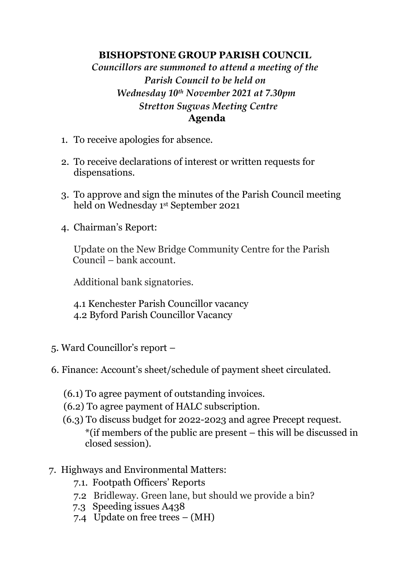## **BISHOPSTONE GROUP PARISH COUNCIL**

## *Councillors are summoned to attend a meeting of the Parish Council to be held on Wednesday 10th November 2021 at 7.30pm Stretton Sugwas Meeting Centre* **Agenda**

- 1. To receive apologies for absence.
- 2. To receive declarations of interest or written requests for dispensations.
- 3. To approve and sign the minutes of the Parish Council meeting held on Wednesday 1 st September 2021
- 4. Chairman's Report:

Update on the New Bridge Community Centre for the Parish Council – bank account.

Additional bank signatories.

4.1 Kenchester Parish Councillor vacancy 4.2 Byford Parish Councillor Vacancy

- 5. Ward Councillor's report –
- 6. Finance: Account's sheet/schedule of payment sheet circulated.
	- (6.1) To agree payment of outstanding invoices.
	- (6.2) To agree payment of HALC subscription.
	- (6.3) To discuss budget for 2022-2023 and agree Precept request. \*(if members of the public are present – this will be discussed in closed session).
- 7. Highways and Environmental Matters:
	- 7.1. Footpath Officers' Reports
	- 7.2 Bridleway. Green lane, but should we provide a bin?
	- 7.3 Speeding issues A438
	- 7.4 Update on free trees (MH)